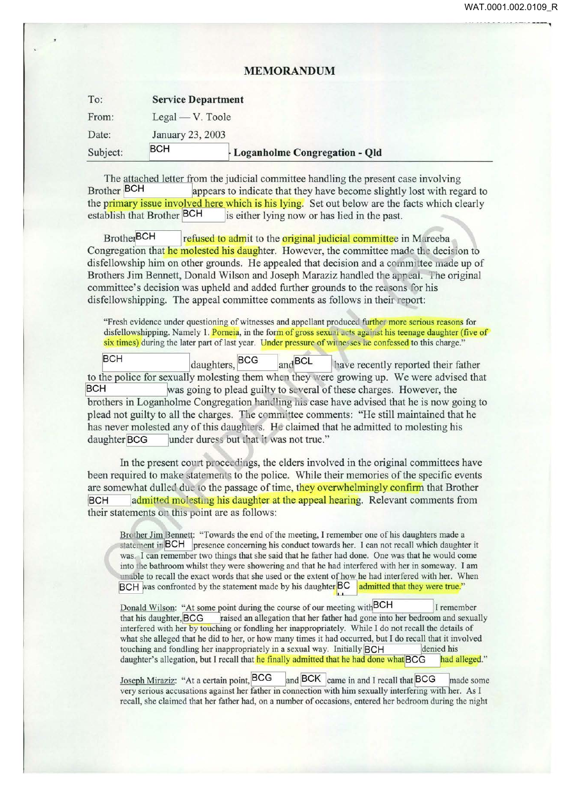**1** 

-------

## **MEMORANDUM**

| To:      | <b>Service Department</b> |                                 |
|----------|---------------------------|---------------------------------|
| From:    | $Legal - V. Toole$        |                                 |
| Date:    | January 23, 2003          |                                 |
| Subject: | <b>BCH</b>                | - Loganholme Congregation - Qld |

The attached letter from the judicial committee handling the present case involving<br>Brother BCH appears to indicate that they have become slightly lost with rep appears to indicate that they have become slightly lost with regard to the primary issue involved here which is his lying. Set out below are the facts which clearly establish that Brother BCH is either lying now or has lied in the past. is either lying now or has lied in the past.

Brother<sup>BCH</sup> refused to admit to the **original judicial committee** in Mareeba Congregation that he molested his daughter. However, the committee made the decision to disfellowship him on other grounds. He appealed that decision and a committee made up of Brothers Jim Bennett, Donald Wilson and Joseph Maraziz handled the appeal. The original committee's decision was upheld and added further grounds to the reasons for his disfellowshipping. The appeal committee comments as follows in their report:

"Fresh evidence under questioning of witnesses and appellant produced further more serious reasons for disfellowshipping. Namely 1. Porneia, in the form of gross sexual acts against his teenage daughter (five of six times) during the later part of last year. Under pressure of witnesses he confessed to this charge."

daughters, <sup>BCC</sup> and <sup>BCL</sup> lave recently reported their father to the police for sexually molesting them when they were growing up. We were advised that BCH was going to plead guilty to several of these charges. However, the brothers in Loganholme Congregation handling his case have advised that he is now going to plead not guilty to all the charges. The committee comments: "He still maintained that he has never molested any of this daughters. He claimed that he admitted to molesting his daughter BCG under duress but that it was not true."

In the present court proceedings, the elders involved in the original committees have been required to make tatements to the police. While their memories of the specific events are somewhat dulled due to the passage of time, they overwhelmingly confirm that Brother BCH admitted molesting his daughter at the appeal hearing. Relevant comments from their statements on this point are as follows:

Brother Jim Bennett: "Towards the end of the meeting, I remember one of his daughters made a statement in BCH presence concerning his conduct towards her. I can not recall which daughter it was. I can remember two things that she said that he father had done. One was that he would come into the bathroom whilst they were showering and that he had interfered with her in someway. I am unable to recall the exact words that she used or the extent of how he had interfered with her. When BCH was confronted by the statement made by his daughter BC admitted that they were true."

Donald Wilson: "At some point during the course of our meeting with BCH I remember that his daughter, BCG raised an allegation that her father had gone into her bedroom and sexually interfered with her by touching or fondling her inappropriately. While I do not recall the details of what she alleged that he did to her, or how many times it had occurred, but I do recall that it involved touching and fondling her inappropriately in a sexual way. Initially **BCH** denied bis daughter's allegation, but I recall that he finally admitted that he had done what BCG had alleged."

Joseph Miraziz: "At a certain point, BCG and BCK came in and I recall that BCG made some very serious accusations against her father in connection with him sexually interfering with her. As I recall, she claimed that her father had, on a number of occasions, entered her bedroom during the night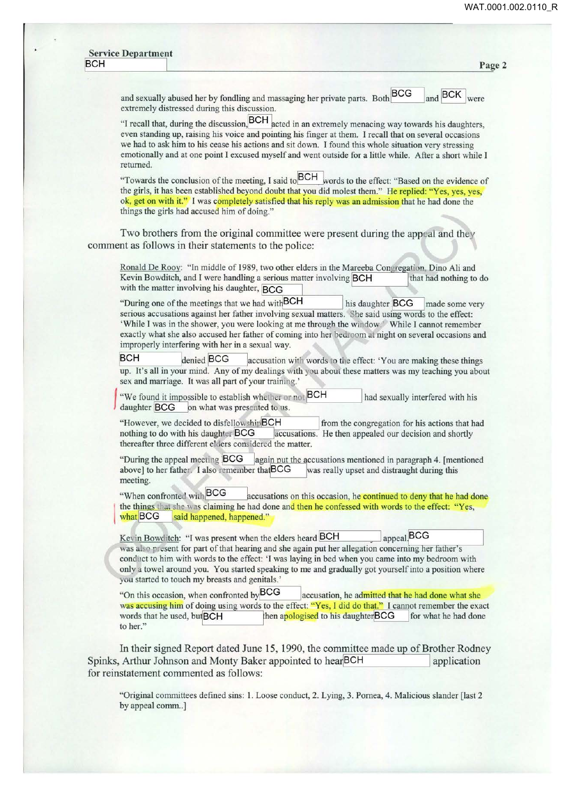| <b>BCH</b> | Page 2                                                                                                                                                                                                                                                                                                                                                                                                                                                                                                                                                                                                                                                                                                                          |
|------------|---------------------------------------------------------------------------------------------------------------------------------------------------------------------------------------------------------------------------------------------------------------------------------------------------------------------------------------------------------------------------------------------------------------------------------------------------------------------------------------------------------------------------------------------------------------------------------------------------------------------------------------------------------------------------------------------------------------------------------|
|            | <b>BCG</b><br>and BCK<br>and sexually abused her by fondling and massaging her private parts. Both<br>were<br>extremely distressed during this discussion.                                                                                                                                                                                                                                                                                                                                                                                                                                                                                                                                                                      |
|            | "I recall that, during the discussion, BCH acted in an extremely menacing way towards his daughters,<br>even standing up, raising his voice and pointing his finger at them. I recall that on several occasions<br>we had to ask him to his cease his actions and sit down. I found this whole situation very stressing<br>emotionally and at one point I excused myself and went outside for a little while. After a short while I<br>returned.                                                                                                                                                                                                                                                                                |
|            | "Towards the conclusion of the meeting, I said to BCH words to the effect: "Based on the evidence of<br>the girls, it has been established beyond doubt that you did molest them." He replied: "Yes, yes, yes,<br>ok, get on with it." I was completely satisfied that his reply was an admission that he had done the<br>things the girls had accused him of doing."                                                                                                                                                                                                                                                                                                                                                           |
|            | Two brothers from the original committee were present during the appeal and they<br>comment as follows in their statements to the police:                                                                                                                                                                                                                                                                                                                                                                                                                                                                                                                                                                                       |
|            | Ronald De Rooy: "In middle of 1989, two other elders in the Mareeba Congregation, Dino Ali and<br>Kevin Bowditch, and I were handling a serious matter involving BCH<br>that had nothing to do<br>with the matter involving his daughter, BCG                                                                                                                                                                                                                                                                                                                                                                                                                                                                                   |
|            | "During one of the meetings that we had with BCH<br>his daughter BCG<br>made some very<br>serious accusations against her father involving sexual matters. She said using words to the effect:<br>'While I was in the shower, you were looking at me through the window.' While I cannot remember<br>exactly what she also accused her father of coming into her bedroom at night on several occasions and<br>improperly interfering with her in a sexual way.<br><b>BCH</b><br>denied BCG<br>accusation with words to the effect: 'You are making these things<br>up. It's all in your mind. Any of my dealings with you about these matters was my teaching you about<br>sex and marriage. It was all part of your training.' |
|            | "We found it impossible to establish whether or not BCH<br>had sexually interfered with his<br>daughter BCG on what was presented to us.                                                                                                                                                                                                                                                                                                                                                                                                                                                                                                                                                                                        |
|            | "However, we decided to disfellowshipBCH<br>from the congregation for his actions that had<br>nothing to do with his daughter BCG<br>accusations. He then appealed our decision and shortly<br>thereafter three different elders considered the matter.                                                                                                                                                                                                                                                                                                                                                                                                                                                                         |
|            | "During the appeal meeting BCG<br>again put the accusations mentioned in paragraph 4. [mentioned<br>above] to her father. I also remember that BCG<br>was really upset and distraught during this<br>meeting.                                                                                                                                                                                                                                                                                                                                                                                                                                                                                                                   |
|            | "When confronted with BCG<br>accusations on this occasion, he continued to deny that he had done<br>the things that she was claiming he had done and then he confessed with words to the effect: "Yes,<br>what BCG<br>said happened, happened."                                                                                                                                                                                                                                                                                                                                                                                                                                                                                 |
|            | appeal, BCG<br>Kevin Bowditch: "I was present when the elders heard BCH<br>was also present for part of that hearing and she again put her allegation concerning her father's<br>conduct to him with words to the effect: 'I was laying in bed when you came into my bedroom with<br>only a towel around you. You started speaking to me and gradually got yourself into a position where<br>you started to touch my breasts and genitals.'                                                                                                                                                                                                                                                                                     |
|            | "On this occasion, when confronted by BCG<br>accusation, he admitted that he had done what she<br>was accusing him of doing using words to the effect: "Yes, I did do that." I cannot remember the exact<br>then apologised to his daughterBCG<br>words that he used, but BCH<br>for what he had done<br>to her."                                                                                                                                                                                                                                                                                                                                                                                                               |
|            | In their signed Report dated June 15, 1990, the committee made up of Brother Rodney<br>Spinks, Arthur Johnson and Monty Baker appointed to hearBCH<br>application<br>for reinstatement commented as follows:                                                                                                                                                                                                                                                                                                                                                                                                                                                                                                                    |
|            | "Original committees defined sins: 1. Loose conduct, 2. Lying, 3. Pornea, 4. Malicious slander [last 2]<br>by appeal comm]                                                                                                                                                                                                                                                                                                                                                                                                                                                                                                                                                                                                      |